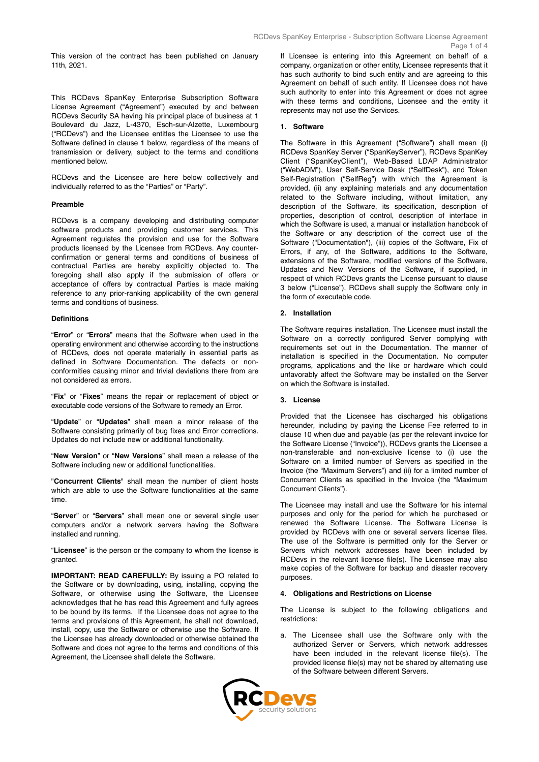This version of the contract has been published on January 11th, 2021.

This RCDevs SpanKey Enterprise Subscription Software License Agreement ("Agreement") executed by and between RCDevs Security SA having his principal place of business at 1 Boulevard du Jazz, L-4370, Esch-sur-Alzette, Luxembourg ("RCDevs") and the Licensee entitles the Licensee to use the Software defined in clause 1 below, regardless of the means of transmission or delivery, subject to the terms and conditions mentioned below.

RCDevs and the Licensee are here below collectively and individually referred to as the "Parties" or "Party".

### **Preamble**

RCDevs is a company developing and distributing computer software products and providing customer services. This Agreement regulates the provision and use for the Software products licensed by the Licensee from RCDevs. Any counterconfirmation or general terms and conditions of business of contractual Parties are hereby explicitly objected to. The foregoing shall also apply if the submission of offers or acceptance of offers by contractual Parties is made making reference to any prior-ranking applicability of the own general terms and conditions of business.

### **Definitions**

"**Error**" or "**Errors**" means that the Software when used in the operating environment and otherwise according to the instructions of RCDevs, does not operate materially in essential parts as defined in Software Documentation. The defects or nonconformities causing minor and trivial deviations there from are not considered as errors.

"**Fix**" or "**Fixes**" means the repair or replacement of object or executable code versions of the Software to remedy an Error.

"**Update**" or "**Updates**" shall mean a minor release of the Software consisting primarily of bug fixes and Error corrections. Updates do not include new or additional functionality.

"**New Version**" or "**New Versions**" shall mean a release of the Software including new or additional functionalities.

"**Concurrent Clients**" shall mean the number of client hosts which are able to use the Software functionalities at the same time.

"**Server**" or "**Servers**" shall mean one or several single user computers and/or a network servers having the Software installed and running.

"**Licensee**" is the person or the company to whom the license is granted.

**IMPORTANT: READ CAREFULLY:** By issuing a PO related to the Software or by downloading, using, installing, copying the Software, or otherwise using the Software, the Licensee acknowledges that he has read this Agreement and fully agrees to be bound by its terms. If the Licensee does not agree to the terms and provisions of this Agreement, he shall not download, install, copy, use the Software or otherwise use the Software. If the Licensee has already downloaded or otherwise obtained the Software and does not agree to the terms and conditions of this Agreement, the Licensee shall delete the Software.

If Licensee is entering into this Agreement on behalf of a company, organization or other entity, Licensee represents that it has such authority to bind such entity and are agreeing to this Agreement on behalf of such entity. If Licensee does not have such authority to enter into this Agreement or does not agree with these terms and conditions, Licensee and the entity it represents may not use the Services.

## **1. Software**

The Software in this Agreement ("Software") shall mean (i) RCDevs SpanKey Server ("SpanKeyServer"), RCDevs SpanKey Client ("SpanKeyClient"), Web-Based LDAP Administrator ("WebADM"), User Self-Service Desk ("SelfDesk"), and Token Self-Registration ("SelfReg") with which the Agreement is provided, (ii) any explaining materials and any documentation related to the Software including, without limitation, any description of the Software, its specification, description of properties, description of control, description of interface in which the Software is used, a manual or installation handbook of the Software or any description of the correct use of the Software ("Documentation"), (iii) copies of the Software, Fix of Errors, if any, of the Software, additions to the Software, extensions of the Software, modified versions of the Software, Updates and New Versions of the Software, if supplied, in respect of which RCDevs grants the License pursuant to clause 3 below ("License"). RCDevs shall supply the Software only in the form of executable code.

# **2. Installation**

The Software requires installation. The Licensee must install the Software on a correctly configured Server complying with requirements set out in the Documentation. The manner of installation is specified in the Documentation. No computer programs, applications and the like or hardware which could unfavorably affect the Software may be installed on the Server on which the Software is installed.

### **3. License**

Provided that the Licensee has discharged his obligations hereunder, including by paying the License Fee referred to in clause 10 when due and payable (as per the relevant invoice for the Software License ("Invoice")), RCDevs grants the Licensee a non-transferable and non-exclusive license to (i) use the Software on a limited number of Servers as specified in the Invoice (the "Maximum Servers") and (ii) for a limited number of Concurrent Clients as specified in the Invoice (the "Maximum Concurrent Clients").

The Licensee may install and use the Software for his internal purposes and only for the period for which he purchased or renewed the Software License. The Software License is provided by RCDevs with one or several servers license files. The use of the Software is permitted only for the Server or Servers which network addresses have been included by RCDevs in the relevant license file(s). The Licensee may also make copies of the Software for backup and disaster recovery purposes.

### **4. Obligations and Restrictions on License**

The License is subject to the following obligations and restrictions:

a. The Licensee shall use the Software only with the authorized Server or Servers, which network addresses have been included in the relevant license file(s). The provided license file(s) may not be shared by alternating use of the Software between different Servers.

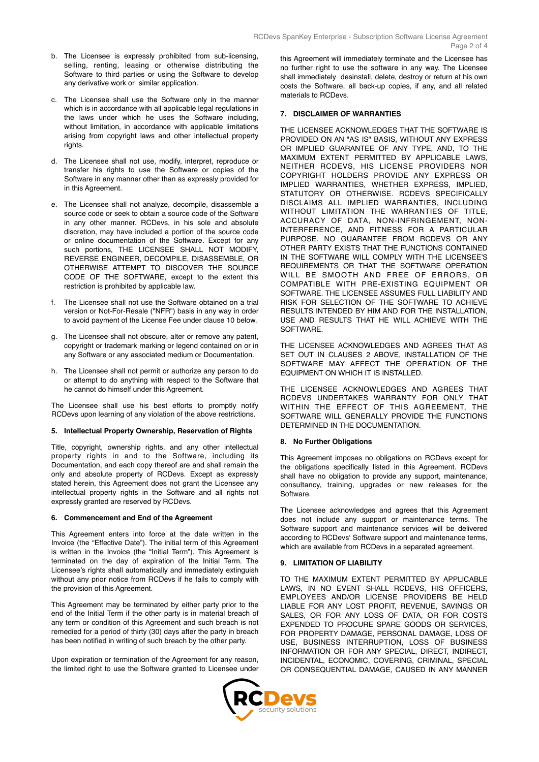- b. The Licensee is expressly prohibited from sub-licensing, selling, renting, leasing or otherwise distributing the Software to third parties or using the Software to develop any derivative work or similar application.
- c. The Licensee shall use the Software only in the manner which is in accordance with all applicable legal regulations in the laws under which he uses the Software including, without limitation, in accordance with applicable limitations arising from copyright laws and other intellectual property rights.
- d. The Licensee shall not use, modify, interpret, reproduce or transfer his rights to use the Software or copies of the Software in any manner other than as expressly provided for in this Agreement.
- e. The Licensee shall not analyze, decompile, disassemble a source code or seek to obtain a source code of the Software in any other manner. RCDevs, in his sole and absolute discretion, may have included a portion of the source code or online documentation of the Software. Except for any such portions, THE LICENSEE SHALL NOT MODIFY, REVERSE ENGINEER, DECOMPILE, DISASSEMBLE, OR OTHERWISE ATTEMPT TO DISCOVER THE SOURCE CODE OF THE SOFTWARE, except to the extent this restriction is prohibited by applicable law.
- The Licensee shall not use the Software obtained on a trial version or Not-For-Resale ("NFR") basis in any way in order to avoid payment of the License Fee under clause 10 below.
- g. The Licensee shall not obscure, alter or remove any patent, copyright or trademark marking or legend contained on or in any Software or any associated medium or Documentation.
- h. The Licensee shall not permit or authorize any person to do or attempt to do anything with respect to the Software that he cannot do himself under this Agreement.

The Licensee shall use his best efforts to promptly notify RCDevs upon learning of any violation of the above restrictions.

### **5. Intellectual Property Ownership, Reservation of Rights**

Title, copyright, ownership rights, and any other intellectual property rights in and to the Software, including its Documentation, and each copy thereof are and shall remain the only and absolute property of RCDevs. Except as expressly stated herein, this Agreement does not grant the Licensee any intellectual property rights in the Software and all rights not expressly granted are reserved by RCDevs.

### **6. Commencement and End of the Agreement**

This Agreement enters into force at the date written in the Invoice (the "Effective Date"). The initial term of this Agreement is written in the Invoice (the "Initial Term"). This Agreement is terminated on the day of expiration of the Initial Term. The Licensee's rights shall automatically and immediately extinguish without any prior notice from RCDevs if he fails to comply with the provision of this Agreement.

This Agreement may be terminated by either party prior to the end of the Initial Term if the other party is in material breach of any term or condition of this Agreement and such breach is not remedied for a period of thirty (30) days after the party in breach has been notified in writing of such breach by the other party.

Upon expiration or termination of the Agreement for any reason, the limited right to use the Software granted to Licensee under this Agreement will immediately terminate and the Licensee has no further right to use the software in any way. The Licensee shall immediately desinstall, delete, destroy or return at his own costs the Software, all back-up copies, if any, and all related materials to RCDevs.

## **7. DISCLAIMER OF WARRANTIES**

THE LICENSEE ACKNOWLEDGES THAT THE SOFTWARE IS PROVIDED ON AN "AS IS" BASIS, WITHOUT ANY EXPRESS OR IMPLIED GUARANTEE OF ANY TYPE, AND, TO THE MAXIMUM EXTENT PERMITTED BY APPLICABLE LAWS, NEITHER RCDEVS, HIS LICENSE PROVIDERS NOR COPYRIGHT HOLDERS PROVIDE ANY EXPRESS OR IMPLIED WARRANTIES, WHETHER EXPRESS, IMPLIED, STATUTORY OR OTHERWISE. RCDEVS SPECIFICALLY DISCLAIMS ALL IMPLIED WARRANTIES, INCLUDING WITHOUT LIMITATION THE WARRANTIES OF TITLE, ACCURACY OF DATA, NON-INFRINGEMENT, NON-INTERFERENCE, AND FITNESS FOR A PARTICULAR PURPOSE. NO GUARANTEE FROM RCDEVS OR ANY OTHER PARTY EXISTS THAT THE FUNCTIONS CONTAINED IN THE SOFTWARE WILL COMPLY WITH THE LICENSEE'S REQUIREMENTS OR THAT THE SOFTWARE OPERATION WILL BE SMOOTH AND FREE OF ERRORS, OR COMPATIBLE WITH PRE-EXISTING EQUIPMENT OR SOFTWARE. THE LICENSEE ASSUMES FULL LIABILITY AND RISK FOR SELECTION OF THE SOFTWARE TO ACHIEVE RESULTS INTENDED BY HIM AND FOR THE INSTALLATION, USE AND RESULTS THAT HE WILL ACHIEVE WITH THE SOFTWARE.

THE LICENSEE ACKNOWLEDGES AND AGREES THAT AS SET OUT IN CLAUSES 2 ABOVE, INSTALLATION OF THE SOFTWARE MAY AFFECT THE OPERATION OF THE EQUIPMENT ON WHICH IT IS INSTALLED.

THE LICENSEE ACKNOWLEDGES AND AGREES THAT RCDEVS UNDERTAKES WARRANTY FOR ONLY THAT WITHIN THE EFFECT OF THIS AGREEMENT, THE SOFTWARE WILL GENERALLY PROVIDE THE FUNCTIONS DETERMINED IN THE DOCUMENTATION.

# **8. No Further Obligations**

This Agreement imposes no obligations on RCDevs except for the obligations specifically listed in this Agreement. RCDevs shall have no obligation to provide any support, maintenance, consultancy, training, upgrades or new releases for the Software.

The Licensee acknowledges and agrees that this Agreement does not include any support or maintenance terms. The Software support and maintenance services will be delivered according to RCDevs' Software support and maintenance terms, which are available from RCDevs in a separated agreement.

### **9. LIMITATION OF LIABILITY**

TO THE MAXIMUM EXTENT PERMITTED BY APPLICABLE LAWS, IN NO EVENT SHALL RCDEVS, HIS OFFICERS, EMPLOYEES AND/OR LICENSE PROVIDERS BE HELD LIABLE FOR ANY LOST PROFIT, REVENUE, SAVINGS OR SALES, OR FOR ANY LOSS OF DATA, OR FOR COSTS EXPENDED TO PROCURE SPARE GOODS OR SERVICES, FOR PROPERTY DAMAGE, PERSONAL DAMAGE, LOSS OF USE, BUSINESS INTERRUPTION, LOSS OF BUSINESS INFORMATION OR FOR ANY SPECIAL, DIRECT, INDIRECT, INCIDENTAL, ECONOMIC, COVERING, CRIMINAL, SPECIAL OR CONSEQUENTIAL DAMAGE, CAUSED IN ANY MANNER

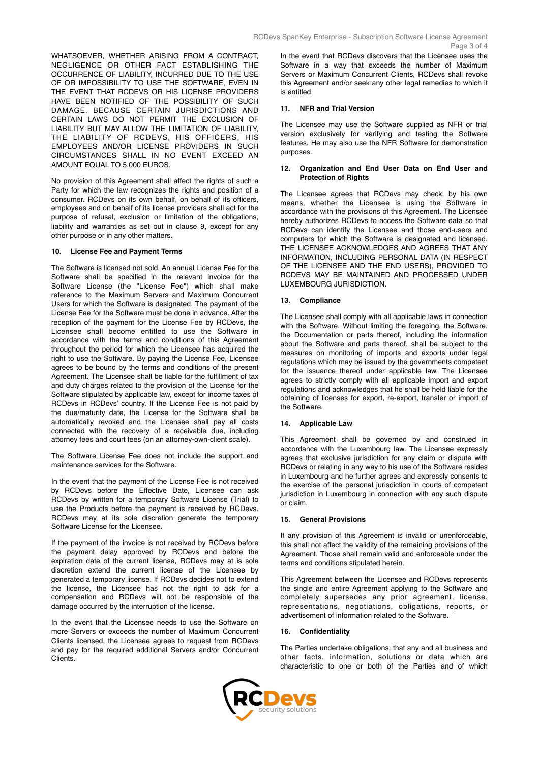WHATSOEVER, WHETHER ARISING FROM A CONTRACT, NEGLIGENCE OR OTHER FACT ESTABLISHING THE OCCURRENCE OF LIABILITY, INCURRED DUE TO THE USE OF OR IMPOSSIBILITY TO USE THE SOFTWARE, EVEN IN THE EVENT THAT RCDEVS OR HIS LICENSE PROVIDERS HAVE BEEN NOTIFIED OF THE POSSIBILITY OF SUCH DAMAGE. BECAUSE CERTAIN JURISDICTIONS AND CERTAIN LAWS DO NOT PERMIT THE EXCLUSION OF LIABILITY BUT MAY ALLOW THE LIMITATION OF LIABILITY, THE LIABILITY OF RCDEVS, HIS OFFICERS, HIS EMPLOYEES AND/OR LICENSE PROVIDERS IN SUCH CIRCUMSTANCES SHALL IN NO EVENT EXCEED AN

No provision of this Agreement shall affect the rights of such a Party for which the law recognizes the rights and position of a consumer. RCDevs on its own behalf, on behalf of its officers, employees and on behalf of its license providers shall act for the purpose of refusal, exclusion or limitation of the obligations, liability and warranties as set out in clause 9, except for any other purpose or in any other matters.

#### **10. License Fee and Payment Terms**

AMOUNT EQUAL TO 5.000 EUROS.

The Software is licensed not sold. An annual License Fee for the Software shall be specified in the relevant Invoice for the Software License (the "License Fee") which shall make reference to the Maximum Servers and Maximum Concurrent Users for which the Software is designated. The payment of the License Fee for the Software must be done in advance. After the reception of the payment for the License Fee by RCDevs, the Licensee shall become entitled to use the Software in accordance with the terms and conditions of this Agreement throughout the period for which the Licensee has acquired the right to use the Software. By paying the License Fee, Licensee agrees to be bound by the terms and conditions of the present Agreement. The Licensee shall be liable for the fulfillment of tax and duty charges related to the provision of the License for the Software stipulated by applicable law, except for income taxes of RCDevs in RCDevs' country. If the License Fee is not paid by the due/maturity date, the License for the Software shall be automatically revoked and the Licensee shall pay all costs connected with the recovery of a receivable due, including attorney fees and court fees (on an attorney-own-client scale).

The Software License Fee does not include the support and maintenance services for the Software.

In the event that the payment of the License Fee is not received by RCDevs before the Effective Date, Licensee can ask RCDevs by written for a temporary Software License (Trial) to use the Products before the payment is received by RCDevs. RCDevs may at its sole discretion generate the temporary Software License for the Licensee.

If the payment of the invoice is not received by RCDevs before the payment delay approved by RCDevs and before the expiration date of the current license, RCDevs may at is sole discretion extend the current license of the Licensee by generated a temporary license. If RCDevs decides not to extend the license, the Licensee has not the right to ask for a compensation and RCDevs will not be responsible of the damage occurred by the interruption of the license.

In the event that the Licensee needs to use the Software on more Servers or exceeds the number of Maximum Concurrent Clients licensed, the Licensee agrees to request from RCDevs and pay for the required additional Servers and/or Concurrent Clients.

In the event that RCDevs discovers that the Licensee uses the Software in a way that exceeds the number of Maximum Servers or Maximum Concurrent Clients, RCDevs shall revoke this Agreement and/or seek any other legal remedies to which it is entitled.

#### **11. NFR and Trial Version**

The Licensee may use the Software supplied as NFR or trial version exclusively for verifying and testing the Software features. He may also use the NFR Software for demonstration purposes.

#### **12. Organization and End User Data on End User and Protection of Rights**

The Licensee agrees that RCDevs may check, by his own means, whether the Licensee is using the Software in accordance with the provisions of this Agreement. The Licensee hereby authorizes RCDevs to access the Software data so that RCDevs can identify the Licensee and those end-users and computers for which the Software is designated and licensed. THE LICENSEE ACKNOWLEDGES AND AGREES THAT ANY INFORMATION, INCLUDING PERSONAL DATA (IN RESPECT OF THE LICENSEE AND THE END USERS), PROVIDED TO RCDEVS MAY BE MAINTAINED AND PROCESSED UNDER LUXEMBOURG JURISDICTION.

# **13. Compliance**

The Licensee shall comply with all applicable laws in connection with the Software. Without limiting the foregoing, the Software, the Documentation or parts thereof, including the information about the Software and parts thereof, shall be subject to the measures on monitoring of imports and exports under legal regulations which may be issued by the governments competent for the issuance thereof under applicable law. The Licensee agrees to strictly comply with all applicable import and export regulations and acknowledges that he shall be held liable for the obtaining of licenses for export, re-export, transfer or import of the Software.

### **14. Applicable Law**

This Agreement shall be governed by and construed in accordance with the Luxembourg law. The Licensee expressly agrees that exclusive jurisdiction for any claim or dispute with RCDevs or relating in any way to his use of the Software resides in Luxembourg and he further agrees and expressly consents to the exercise of the personal jurisdiction in courts of competent jurisdiction in Luxembourg in connection with any such dispute or claim.

## **15. General Provisions**

If any provision of this Agreement is invalid or unenforceable, this shall not affect the validity of the remaining provisions of the Agreement. Those shall remain valid and enforceable under the terms and conditions stipulated herein.

This Agreement between the Licensee and RCDevs represents the single and entire Agreement applying to the Software and completely supersedes any prior agreement, license, representations, negotiations, obligations, reports, or advertisement of information related to the Software.

### **16. Confidentiality**

The Parties undertake obligations, that any and all business and other facts, information, solutions or data which are characteristic to one or both of the Parties and of which